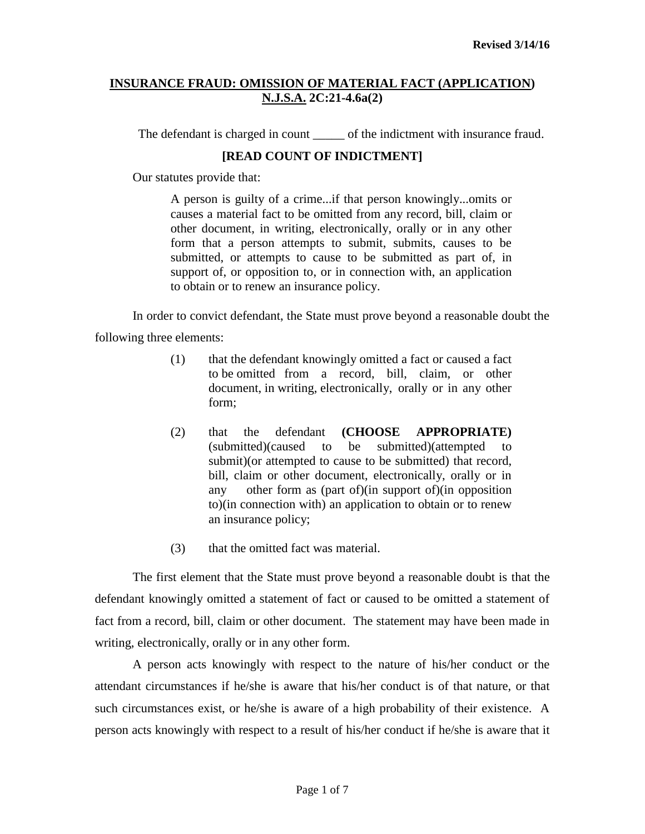The defendant is charged in count of the indictment with insurance fraud.

# **[READ COUNT OF INDICTMENT]**

Our statutes provide that:

A person is guilty of a crime...if that person knowingly...omits or causes a material fact to be omitted from any record, bill, claim or other document, in writing, electronically, orally or in any other form that a person attempts to submit, submits, causes to be submitted, or attempts to cause to be submitted as part of, in support of, or opposition to, or in connection with, an application to obtain or to renew an insurance policy.

In order to convict defendant, the State must prove beyond a reasonable doubt the following three elements:

- (1) that the defendant knowingly omitted a fact or caused a fact to be omitted from a record, bill, claim, or other document, in writing, electronically, orally or in any other form;
- (2) that the defendant **(CHOOSE APPROPRIATE)** (submitted)(caused to be submitted)(attempted to submit)(or attempted to cause to be submitted) that record, bill, claim or other document, electronically, orally or in any other form as (part of)(in support of)(in opposition to)(in connection with) an application to obtain or to renew an insurance policy;
- (3) that the omitted fact was material.

The first element that the State must prove beyond a reasonable doubt is that the defendant knowingly omitted a statement of fact or caused to be omitted a statement of fact from a record, bill, claim or other document. The statement may have been made in writing, electronically, orally or in any other form.

A person acts knowingly with respect to the nature of his/her conduct or the attendant circumstances if he/she is aware that his/her conduct is of that nature, or that such circumstances exist, or he/she is aware of a high probability of their existence. A person acts knowingly with respect to a result of his/her conduct if he/she is aware that it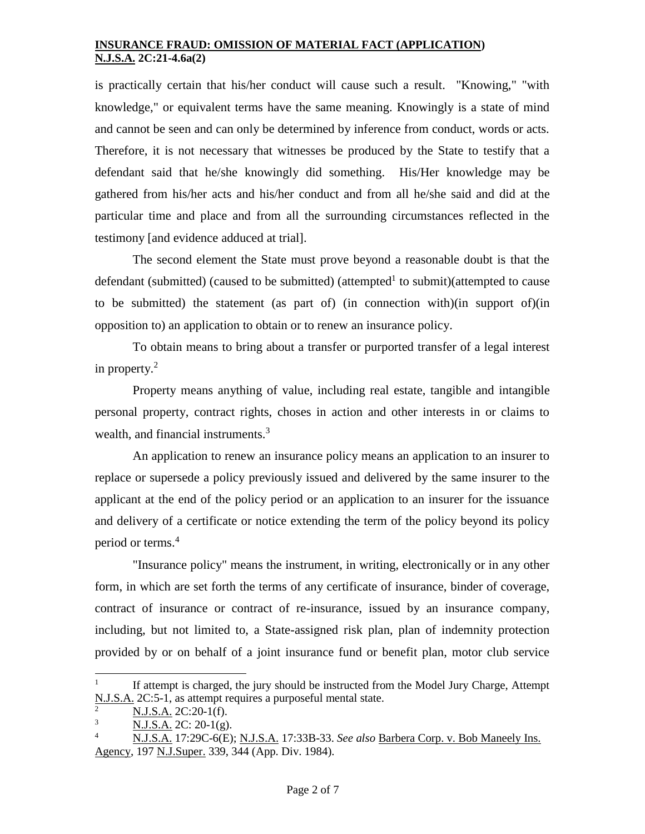is practically certain that his/her conduct will cause such a result. "Knowing," "with knowledge," or equivalent terms have the same meaning. Knowingly is a state of mind and cannot be seen and can only be determined by inference from conduct, words or acts. Therefore, it is not necessary that witnesses be produced by the State to testify that a defendant said that he/she knowingly did something. His/Her knowledge may be gathered from his/her acts and his/her conduct and from all he/she said and did at the particular time and place and from all the surrounding circumstances reflected in the testimony [and evidence adduced at trial].

The second element the State must prove beyond a reasonable doubt is that the defendant (submitted) (caused to be submitted) (attempted<sup>1</sup> to submit)(attempted to cause to be submitted) the statement (as part of) (in connection with)(in support of)(in opposition to) an application to obtain or to renew an insurance policy.

To obtain means to bring about a transfer or purported transfer of a legal interest in property. $2$ 

Property means anything of value, including real estate, tangible and intangible personal property, contract rights, choses in action and other interests in or claims to wealth, and financial instruments.<sup>3</sup>

An application to renew an insurance policy means an application to an insurer to replace or supersede a policy previously issued and delivered by the same insurer to the applicant at the end of the policy period or an application to an insurer for the issuance and delivery of a certificate or notice extending the term of the policy beyond its policy period or terms.<sup>4</sup>

"Insurance policy" means the instrument, in writing, electronically or in any other form, in which are set forth the terms of any certificate of insurance, binder of coverage, contract of insurance or contract of re-insurance, issued by an insurance company, including, but not limited to, a State-assigned risk plan, plan of indemnity protection provided by or on behalf of a joint insurance fund or benefit plan, motor club service

<sup>1</sup> If attempt is charged, the jury should be instructed from the Model Jury Charge, Attempt N.J.S.A. 2C:5-1, as attempt requires a purposeful mental state.

N.J.S.A. 2C:20-1(f).

 $N.J.S.A. 2C: 20-1(g).$ 

<sup>4</sup> N.J.S.A. 17:29C-6(E); N.J.S.A. 17:33B-33. *See also* Barbera Corp. v. Bob Maneely Ins. Agency, 197 N.J.Super. 339, 344 (App. Div. 1984).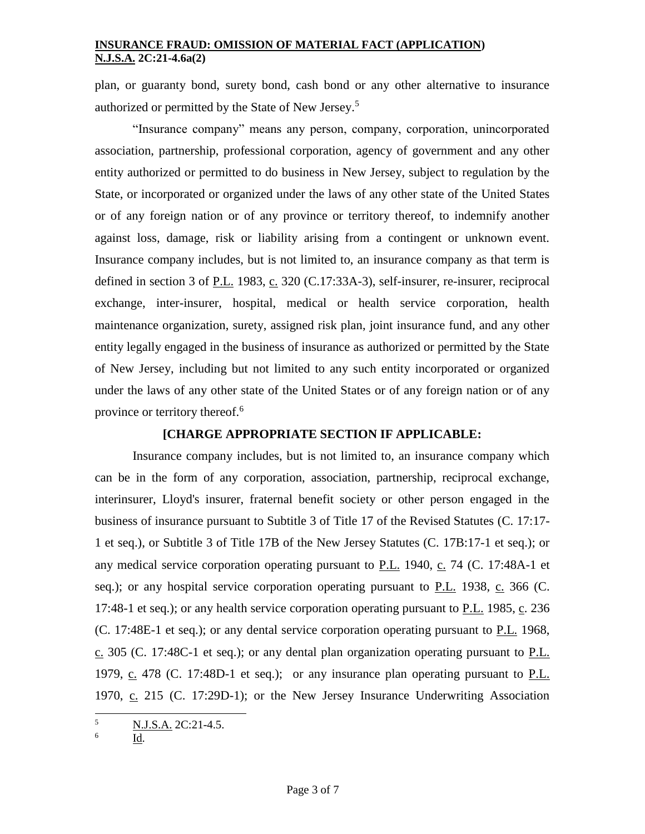plan, or guaranty bond, surety bond, cash bond or any other alternative to insurance authorized or permitted by the State of New Jersey.<sup>5</sup>

"Insurance company" means any person, company, corporation, unincorporated association, partnership, professional corporation, agency of government and any other entity authorized or permitted to do business in New Jersey, subject to regulation by the State, or incorporated or organized under the laws of any other state of the United States or of any foreign nation or of any province or territory thereof, to indemnify another against loss, damage, risk or liability arising from a contingent or unknown event. Insurance company includes, but is not limited to, an insurance company as that term is defined in section 3 of P.L. 1983, c. 320 (C.17:33A-3), self-insurer, re-insurer, reciprocal exchange, inter-insurer, hospital, medical or health service corporation, health maintenance organization, surety, assigned risk plan, joint insurance fund, and any other entity legally engaged in the business of insurance as authorized or permitted by the State of New Jersey, including but not limited to any such entity incorporated or organized under the laws of any other state of the United States or of any foreign nation or of any province or territory thereof.<sup>6</sup>

### **[CHARGE APPROPRIATE SECTION IF APPLICABLE:**

Insurance company includes, but is not limited to, an insurance company which can be in the form of any corporation, association, partnership, reciprocal exchange, interinsurer, Lloyd's insurer, fraternal benefit society or other person engaged in the business of insurance pursuant to Subtitle 3 of Title 17 of the Revised Statutes (C. 17:17- 1 et seq.), or Subtitle 3 of Title 17B of the New Jersey Statutes (C. 17B:17-1 et seq.); or any medical service corporation operating pursuant to P.L. 1940, c. 74 (C. [17:48A-1 et](http://web2.westlaw.com/find/default.wl?rp=%2ffind%2fdefault.wl&vc=0&DB=1000045&DocName=NJST17%3A48A%2D1&FindType=L&AP=&fn=_top&rs=WLW8.02&mt=Westlaw&vr=2.0&sv=Split)  [seq.\)](http://web2.westlaw.com/find/default.wl?rp=%2ffind%2fdefault.wl&vc=0&DB=1000045&DocName=NJST17%3A48A%2D1&FindType=L&AP=&fn=_top&rs=WLW8.02&mt=Westlaw&vr=2.0&sv=Split); or any hospital service corporation operating pursuant to  $P.L.$  1938,  $C.$  366 [\(C.](http://web2.westlaw.com/find/default.wl?rp=%2ffind%2fdefault.wl&vc=0&DB=1000045&DocName=NJST17%3A48%2D1&FindType=L&AP=&fn=_top&rs=WLW8.02&mt=Westlaw&vr=2.0&sv=Split) [17:48-1 et seq.\)](http://web2.westlaw.com/find/default.wl?rp=%2ffind%2fdefault.wl&vc=0&DB=1000045&DocName=NJST17%3A48%2D1&FindType=L&AP=&fn=_top&rs=WLW8.02&mt=Westlaw&vr=2.0&sv=Split); or any health service corporation operating pursuant to P.L. 1985, c. 236 (C. [17:48E-1 et seq.\)](http://web2.westlaw.com/find/default.wl?rp=%2ffind%2fdefault.wl&vc=0&DB=1000045&DocName=NJST17%3A48E%2D1&FindType=L&AP=&fn=_top&rs=WLW8.02&mt=Westlaw&vr=2.0&sv=Split); or any dental service corporation operating pursuant to P.L. 1968, c. 305 (C. [17:48C-1 et seq.\)](http://web2.westlaw.com/find/default.wl?rp=%2ffind%2fdefault.wl&vc=0&DB=1000045&DocName=NJST17%3A48C%2D1&FindType=L&AP=&fn=_top&rs=WLW8.02&mt=Westlaw&vr=2.0&sv=Split); or any dental plan organization operating pursuant to P.L. 1979, c. 478 (C. [17:48D-1 et seq.\)](http://web2.westlaw.com/find/default.wl?rp=%2ffind%2fdefault.wl&vc=0&DB=1000045&DocName=NJST17%3A48D%2D1&FindType=L&AP=&fn=_top&rs=WLW8.02&mt=Westlaw&vr=2.0&sv=Split); or any insurance plan operating pursuant to P.L. 1970, c. 215 (C. [17:29D-1\)](http://web2.westlaw.com/find/default.wl?rp=%2ffind%2fdefault.wl&vc=0&DB=1000045&DocName=NJST17%3A29D%2D1&FindType=L&AP=&fn=_top&rs=WLW8.02&mt=Westlaw&vr=2.0&sv=Split); or the New Jersey Insurance Underwriting Association

6 Id.

l <sup>5</sup> N.J.S.A. 2C:21-4.5.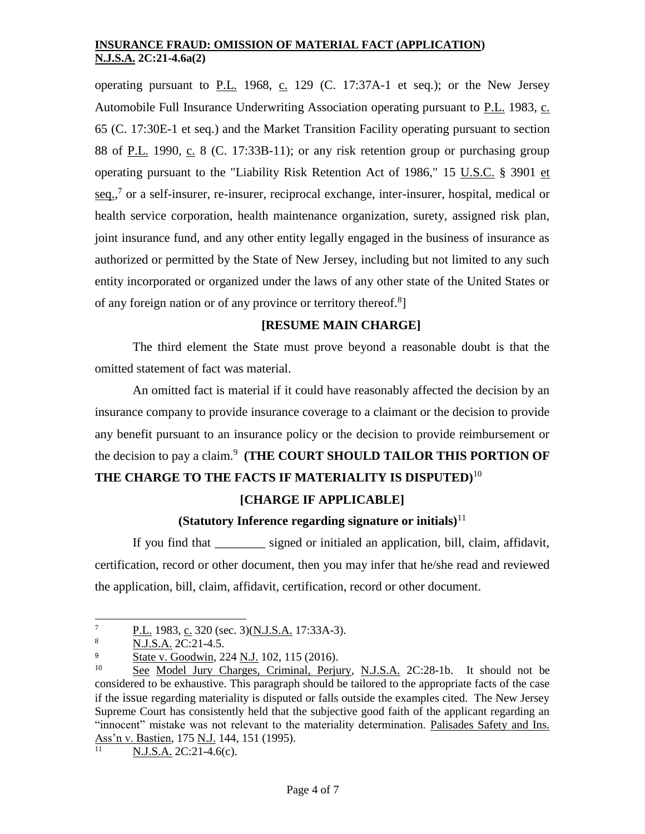operating pursuant to P.L. 1968, c. 129 (C. [17:37A-1 et seq.\)](http://web2.westlaw.com/find/default.wl?rp=%2ffind%2fdefault.wl&vc=0&DB=1000045&DocName=NJST17%3A37A%2D1&FindType=L&AP=&fn=_top&rs=WLW8.02&mt=Westlaw&vr=2.0&sv=Split); or the New Jersey Automobile Full Insurance Underwriting Association operating pursuant to P.L. 1983, c. 65 (C. [17:30E-1 et seq.\)](http://web2.westlaw.com/find/default.wl?rp=%2ffind%2fdefault.wl&vc=0&DB=1000045&DocName=NJST17%3A30E%2D1&FindType=L&AP=&fn=_top&rs=WLW8.02&mt=Westlaw&vr=2.0&sv=Split) and the Market Transition Facility operating pursuant to section 88 of P.L. 1990, c. 8 (C. [17:33B-11\)](http://web2.westlaw.com/find/default.wl?rp=%2ffind%2fdefault.wl&vc=0&DB=1000045&DocName=NJST17%3A33B%2D11&FindType=L&AP=&fn=_top&rs=WLW8.02&mt=Westlaw&vr=2.0&sv=Split); or any risk retention group or purchasing group operating pursuant to the "Liability Risk Retention Act of 1986," [15 U.S.C.](http://web2.westlaw.com/find/default.wl?rp=%2ffind%2fdefault.wl&vc=0&DB=1000546&DocName=15USCAS3901&FindType=L&AP=&fn=_top&rs=WLW8.02&mt=Westlaw&vr=2.0&sv=Split) § 3901 et  $seq.$ <sup>7</sup> or a self-insurer, re-insurer, reciprocal exchange, inter-insurer, hospital, medical or health service corporation, health maintenance organization, surety, assigned risk plan, joint insurance fund, and any other entity legally engaged in the business of insurance as authorized or permitted by the State of New Jersey, including but not limited to any such entity incorporated or organized under the laws of any other state of the United States or of any foreign nation or of any province or territory thereof.<sup>8</sup>]

# **[RESUME MAIN CHARGE]**

The third element the State must prove beyond a reasonable doubt is that the omitted statement of fact was material.

An omitted fact is material if it could have reasonably affected the decision by an insurance company to provide insurance coverage to a claimant or the decision to provide any benefit pursuant to an insurance policy or the decision to provide reimbursement or the decision to pay a claim.<sup>9</sup> (THE COURT SHOULD TAILOR THIS PORTION OF **THE CHARGE TO THE FACTS IF MATERIALITY IS DISPUTED)**<sup>10</sup>

# **[CHARGE IF APPLICABLE]**

### **(Statutory Inference regarding signature or initials)**<sup>11</sup>

If you find that \_\_\_\_\_\_\_\_ signed or initialed an application, bill, claim, affidavit, certification, record or other document, then you may infer that he/she read and reviewed the application, bill, claim, affidavit, certification, record or other document.

N.J.S.A. 2C:21-4.6(c).

l  $\frac{P.L.}{NIS A}$  1983, c. 320 (sec. 3)(N.J.S.A. 17:33A-3).

<sup>8</sup> N.J.S.A. 2C:21-4.5.

<sup>&</sup>lt;sup>9</sup> State v. Goodwin, 224 N.J. 102, 115 (2016).

<sup>10</sup> See Model Jury Charges, Criminal, Perjury, N.J.S.A. 2C:28-1b. It should not be considered to be exhaustive. This paragraph should be tailored to the appropriate facts of the case if the issue regarding materiality is disputed or falls outside the examples cited. The New Jersey Supreme Court has consistently held that the subjective good faith of the applicant regarding an "innocent" mistake was not relevant to the materiality determination. Palisades Safety and Ins. Ass'n v. Bastien, 175 N.J. 144, 151 (1995).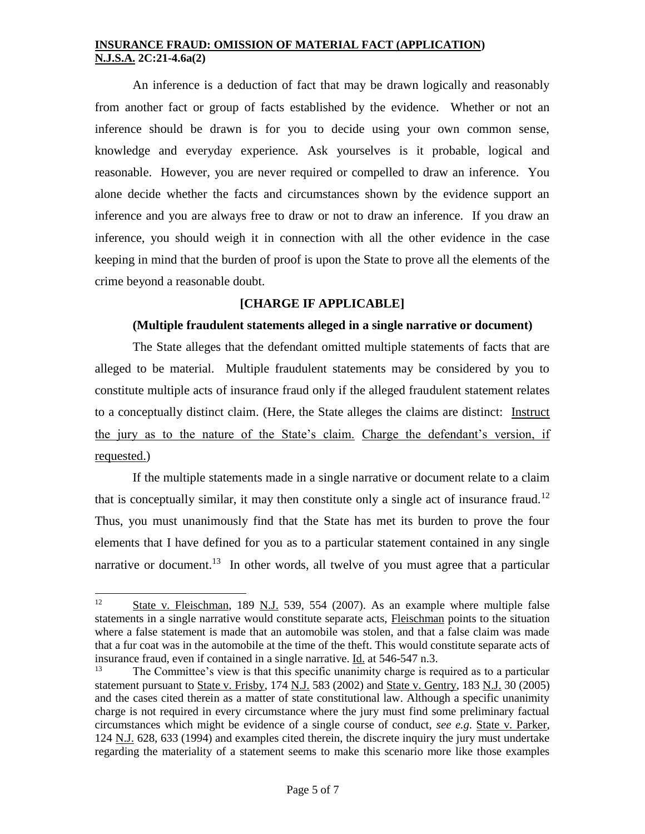An inference is a deduction of fact that may be drawn logically and reasonably from another fact or group of facts established by the evidence. Whether or not an inference should be drawn is for you to decide using your own common sense, knowledge and everyday experience. Ask yourselves is it probable, logical and reasonable. However, you are never required or compelled to draw an inference. You alone decide whether the facts and circumstances shown by the evidence support an inference and you are always free to draw or not to draw an inference. If you draw an inference, you should weigh it in connection with all the other evidence in the case keeping in mind that the burden of proof is upon the State to prove all the elements of the crime beyond a reasonable doubt.

# **[CHARGE IF APPLICABLE]**

#### **(Multiple fraudulent statements alleged in a single narrative or document)**

The State alleges that the defendant omitted multiple statements of facts that are alleged to be material. Multiple fraudulent statements may be considered by you to constitute multiple acts of insurance fraud only if the alleged fraudulent statement relates to a conceptually distinct claim. (Here, the State alleges the claims are distinct: Instruct the jury as to the nature of the State's claim. Charge the defendant's version, if requested.)

If the multiple statements made in a single narrative or document relate to a claim that is conceptually similar, it may then constitute only a single act of insurance fraud.<sup>12</sup> Thus, you must unanimously find that the State has met its burden to prove the four elements that I have defined for you as to a particular statement contained in any single narrative or document.<sup>13</sup> In other words, all twelve of you must agree that a particular

<sup>&</sup>lt;sup>12</sup> State v. Fleischman, 189 N.J. 539, 554 (2007). As an example where multiple false statements in a single narrative would constitute separate acts, Fleischman points to the situation where a false statement is made that an automobile was stolen, and that a false claim was made that a fur coat was in the automobile at the time of the theft. This would constitute separate acts of insurance fraud, even if contained in a single narrative. Id. at 546-547 n.3.

<sup>&</sup>lt;sup>13</sup> The Committee's view is that this specific unanimity charge is required as to a particular statement pursuant to State v. Frisby, 174 N.J. 583 (2002) and State v. Gentry, 183 N.J. 30 (2005) and the cases cited therein as a matter of state constitutional law. Although a specific unanimity charge is not required in every circumstance where the jury must find some preliminary factual circumstances which might be evidence of a single course of conduct, *see e.g*. State v. Parker, 124 N.J. 628, 633 (1994) and examples cited therein, the discrete inquiry the jury must undertake regarding the materiality of a statement seems to make this scenario more like those examples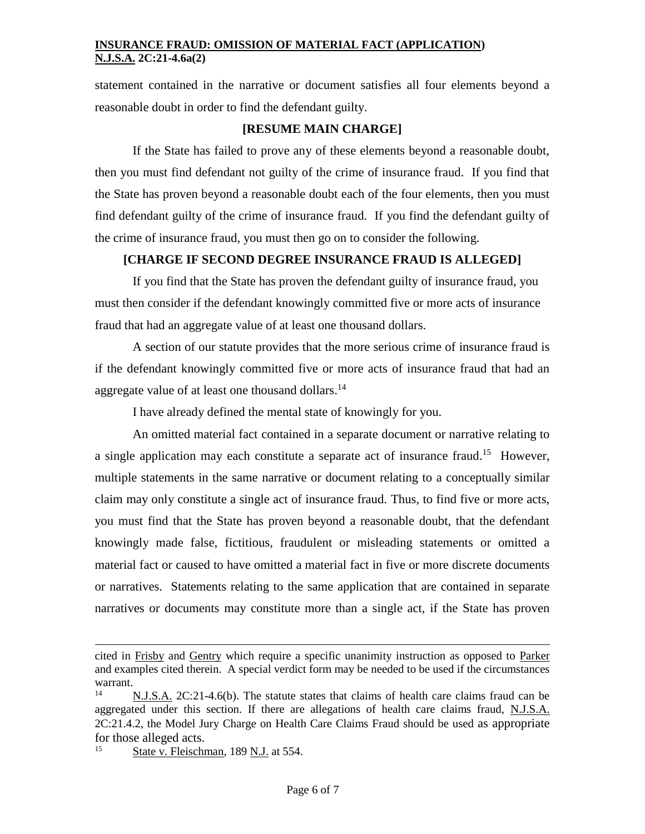statement contained in the narrative or document satisfies all four elements beyond a reasonable doubt in order to find the defendant guilty.

### **[RESUME MAIN CHARGE]**

If the State has failed to prove any of these elements beyond a reasonable doubt, then you must find defendant not guilty of the crime of insurance fraud. If you find that the State has proven beyond a reasonable doubt each of the four elements, then you must find defendant guilty of the crime of insurance fraud. If you find the defendant guilty of the crime of insurance fraud, you must then go on to consider the following.

# **[CHARGE IF SECOND DEGREE INSURANCE FRAUD IS ALLEGED]**

If you find that the State has proven the defendant guilty of insurance fraud, you must then consider if the defendant knowingly committed five or more acts of insurance fraud that had an aggregate value of at least one thousand dollars.

A section of our statute provides that the more serious crime of insurance fraud is if the defendant knowingly committed five or more acts of insurance fraud that had an aggregate value of at least one thousand dollars.<sup>14</sup>

I have already defined the mental state of knowingly for you.

An omitted material fact contained in a separate document or narrative relating to a single application may each constitute a separate act of insurance fraud.<sup>15</sup> However, multiple statements in the same narrative or document relating to a conceptually similar claim may only constitute a single act of insurance fraud. Thus, to find five or more acts, you must find that the State has proven beyond a reasonable doubt, that the defendant knowingly made false, fictitious, fraudulent or misleading statements or omitted a material fact or caused to have omitted a material fact in five or more discrete documents or narratives. Statements relating to the same application that are contained in separate narratives or documents may constitute more than a single act, if the State has proven

cited in Frisby and Gentry which require a specific unanimity instruction as opposed to Parker and examples cited therein. A special verdict form may be needed to be used if the circumstances warrant.

N.J.S.A. 2C:21-4.6(b). The statute states that claims of health care claims fraud can be aggregated under this section. If there are allegations of health care claims fraud, N.J.S.A. 2C:21.4.2, the Model Jury Charge on Health Care Claims Fraud should be used as appropriate for those alleged acts.

 $15$  State v. Fleischman, 189 N.J. at 554.